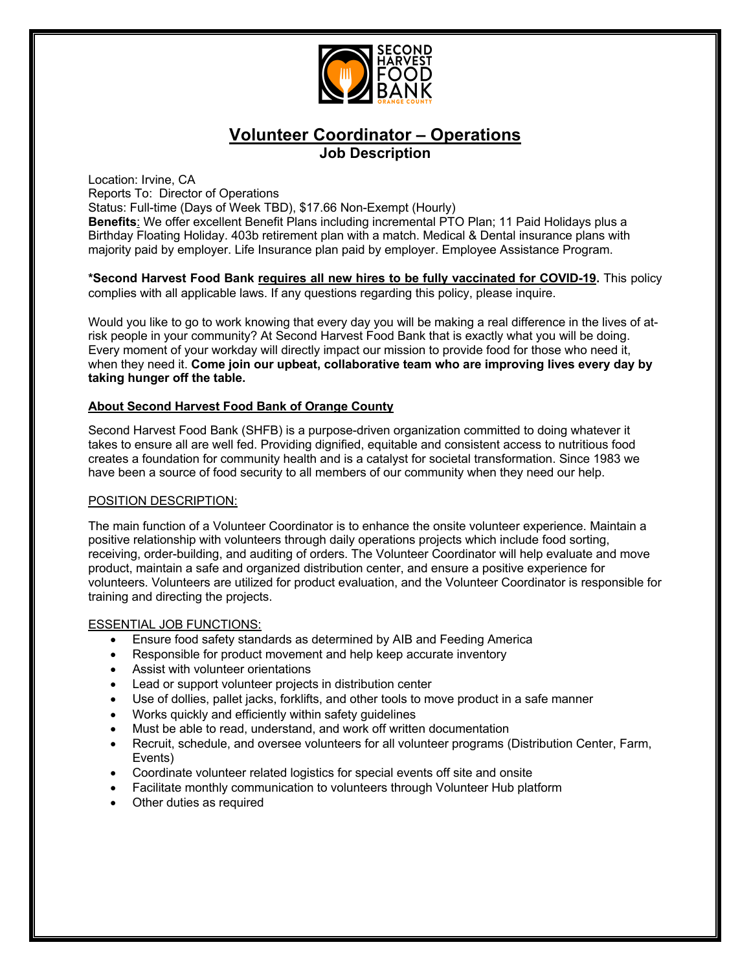

# **Volunteer Coordinator – Operations Job Description**

Location: Irvine, CA Reports To: Director of Operations

Status: Full-time (Days of Week TBD), \$17.66 Non-Exempt (Hourly)

**Benefits**: We offer excellent Benefit Plans including incremental PTO Plan; 11 Paid Holidays plus a Birthday Floating Holiday. 403b retirement plan with a match. Medical & Dental insurance plans with majority paid by employer. Life Insurance plan paid by employer. Employee Assistance Program.

**\*Second Harvest Food Bank requires all new hires to be fully vaccinated for COVID-19.** This policy complies with all applicable laws. If any questions regarding this policy, please inquire.

Would you like to go to work knowing that every day you will be making a real difference in the lives of atrisk people in your community? At Second Harvest Food Bank that is exactly what you will be doing. Every moment of your workday will directly impact our mission to provide food for those who need it, when they need it. **Come join our upbeat, collaborative team who are improving lives every day by taking hunger off the table.** 

## **About Second Harvest Food Bank of Orange County**

Second Harvest Food Bank (SHFB) is a purpose-driven organization committed to doing whatever it takes to ensure all are well fed. Providing dignified, equitable and consistent access to nutritious food creates a foundation for community health and is a catalyst for societal transformation. Since 1983 we have been a source of food security to all members of our community when they need our help.

#### POSITION DESCRIPTION:

The main function of a Volunteer Coordinator is to enhance the onsite volunteer experience. Maintain a positive relationship with volunteers through daily operations projects which include food sorting, receiving, order-building, and auditing of orders. The Volunteer Coordinator will help evaluate and move product, maintain a safe and organized distribution center, and ensure a positive experience for volunteers. Volunteers are utilized for product evaluation, and the Volunteer Coordinator is responsible for training and directing the projects.

#### ESSENTIAL JOB FUNCTIONS:

- Ensure food safety standards as determined by AIB and Feeding America
- Responsible for product movement and help keep accurate inventory
- Assist with volunteer orientations
- Lead or support volunteer projects in distribution center
- Use of dollies, pallet jacks, forklifts, and other tools to move product in a safe manner
- Works quickly and efficiently within safety guidelines
- Must be able to read, understand, and work off written documentation
- Recruit, schedule, and oversee volunteers for all volunteer programs (Distribution Center, Farm, Events)
- Coordinate volunteer related logistics for special events off site and onsite
- Facilitate monthly communication to volunteers through Volunteer Hub platform
- Other duties as required